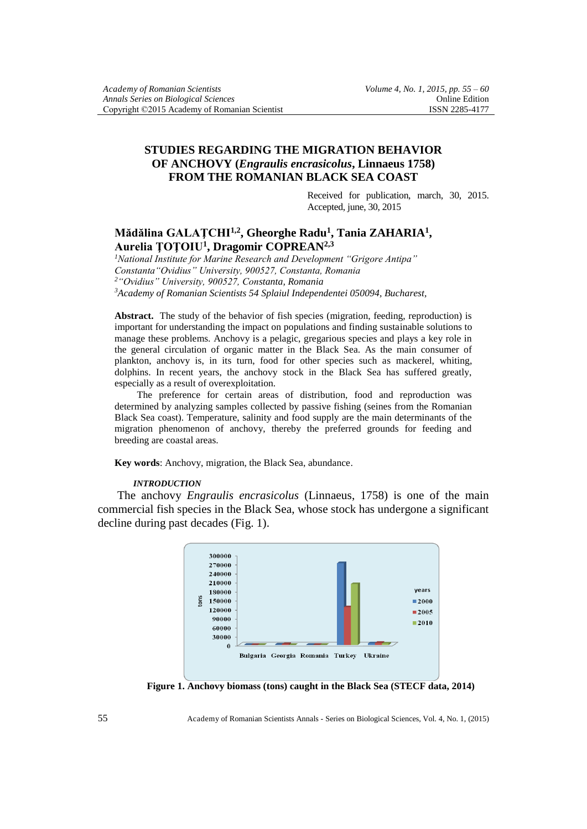# **STUDIES REGARDING THE MIGRATION BEHAVIOR OF ANCHOVY (***Engraulis encrasicolus***, Linnaeus 1758) FROM THE ROMANIAN BLACK SEA COAST**

Received for publication, march, 30, 2015. Accepted, june, 30, 2015

# **Mădălina GALAŢCHI1,2, Gheorghe Radu<sup>1</sup> , Tania ZAHARIA<sup>1</sup> , Aurelia ŢOŢOIU<sup>1</sup> , Dragomir COPREAN2,3**

*National Institute for Marine Research and Development "Grigore Antipa" Constanta"Ovidius" University, 900527, Constanta, Romania "Ovidius" University, 900527, Constanta, Romania Academy of Romanian Scientists 54 Splaiul Independentei 050094, Bucharest,* 

**Abstract.** The study of the behavior of fish species (migration, feeding, reproduction) is important for understanding the impact on populations and finding sustainable solutions to manage these problems. Anchovy is a pelagic, gregarious species and plays a key role in the general circulation of organic matter in the Black Sea. As the main consumer of plankton, anchovy is, in its turn, food for other species such as mackerel, whiting, dolphins. In recent years, the anchovy stock in the Black Sea has suffered greatly, especially as a result of overexploitation.

The preference for certain areas of distribution, food and reproduction was determined by analyzing samples collected by passive fishing (seines from the Romanian Black Sea coast). Temperature, salinity and food supply are the main determinants of the migration phenomenon of anchovy, thereby the preferred grounds for feeding and breeding are coastal areas.

**Key words**: Anchovy, migration, the Black Sea, abundance.

#### *INTRODUCTION*

The anchovy *Engraulis encrasicolus* (Linnaeus, 1758) is one of the main commercial fish species in the Black Sea, whose stock has undergone a significant decline during past decades (Fig. 1).



**Figure 1. Anchovy biomass (tons) caught in the Black Sea (STECF data, 2014)**

55 Academy of Romanian Scientists Annals - Series on Biological Sciences, Vol. 4, No. 1, (2015)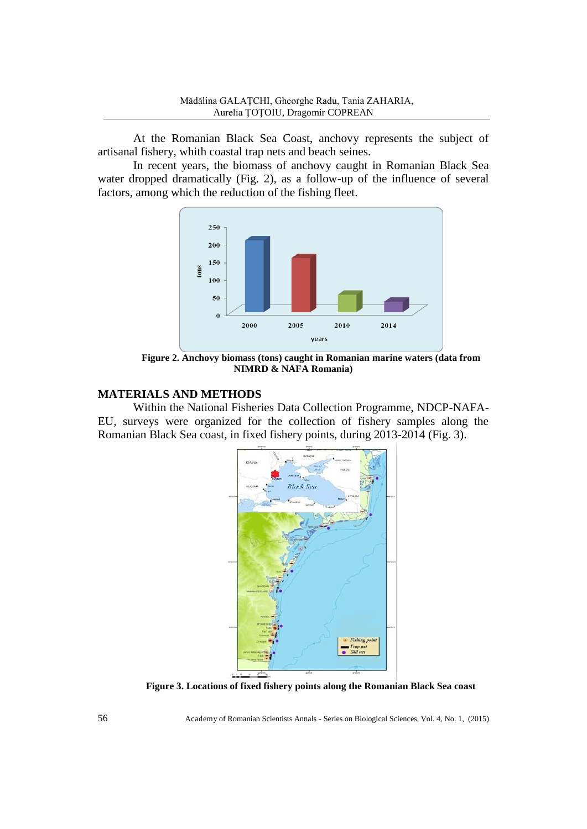At the Romanian Black Sea Coast, anchovy represents the subject of artisanal fishery, whith coastal trap nets and beach seines.

In recent years, the biomass of anchovy caught in Romanian Black Sea water dropped dramatically (Fig. 2), as a follow-up of the influence of several factors, among which the reduction of the fishing fleet.



**Figure 2. Anchovy biomass (tons) caught in Romanian marine waters (data from NIMRD & NAFA Romania)**

# **MATERIALS AND METHODS**

Within the National Fisheries Data Collection Programme, NDCP-NAFA-EU, surveys were organized for the collection of fishery samples along the Romanian Black Sea coast, in fixed fishery points, during 2013-2014 (Fig. 3).



**Figure 3. Locations of fixed fishery points along the Romanian Black Sea coast**

56 Academy of Romanian Scientists Annals - Series on Biological Sciences, Vol. 4, No. 1, (2015)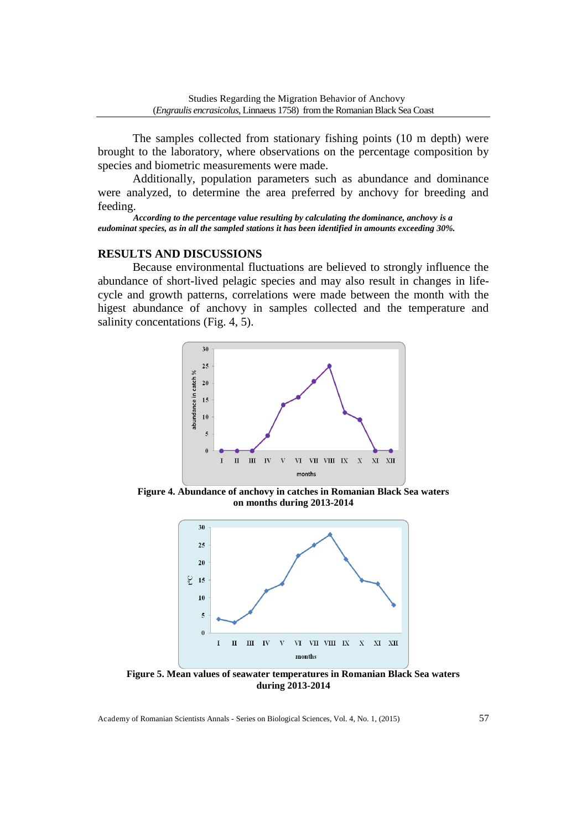The samples collected from stationary fishing points (10 m depth) were brought to the laboratory, where observations on the percentage composition by species and biometric measurements were made.

Additionally, population parameters such as abundance and dominance were analyzed, to determine the area preferred by anchovy for breeding and feeding.

*According to the percentage value resulting by calculating the dominance, anchovy is a eudominat species, as in all the sampled stations it has been identified in amounts exceeding 30%.* 

## **RESULTS AND DISCUSSIONS**

Because environmental fluctuations are believed to strongly influence the abundance of short-lived pelagic species and may also result in changes in lifecycle and growth patterns, correlations were made between the month with the higest abundance of anchovy in samples collected and the temperature and salinity concentations (Fig. 4, 5).



**Figure 4. Abundance of anchovy in catches in Romanian Black Sea waters on months during 2013-2014** 



**Figure 5. Mean values of seawater temperatures in Romanian Black Sea waters during 2013-2014**

Academy of Romanian Scientists Annals - Series on Biological Sciences, Vol. 4, No. 1, (2015) 57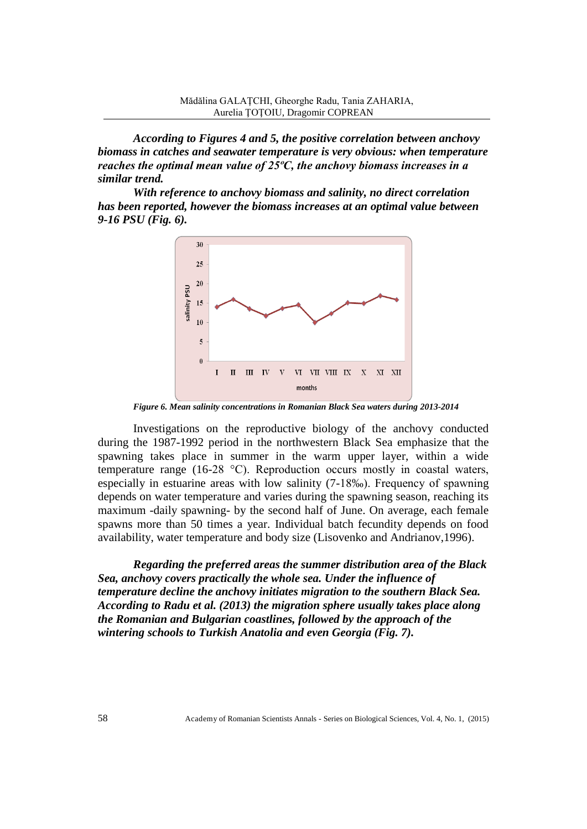*According to Figures 4 and 5, the positive correlation between anchovy biomass in catches and seawater temperature is very obvious: when temperature reaches the optimal mean value of 25ºC, the anchovy biomass increases in a similar trend.*

*With reference to anchovy biomass and salinity, no direct correlation has been reported, however the biomass increases at an optimal value between 9-16 PSU (Fig. 6).*



*Figure 6. Mean salinity concentrations in Romanian Black Sea waters during 2013-2014*

Investigations on the reproductive biology of the anchovy conducted during the 1987-1992 period in the northwestern Black Sea emphasize that the spawning takes place in summer in the warm upper layer, within a wide temperature range (16-28 °C). Reproduction occurs mostly in coastal waters, especially in estuarine areas with low salinity (7-18‰). Frequency of spawning depends on water temperature and varies during the spawning season, reaching its maximum -daily spawning- by the second half of June. On average, each female spawns more than 50 times a year. Individual batch fecundity depends on food availability, water temperature and body size (Lisovenko and Andrianov,1996).

*Regarding the preferred areas the summer distribution area of the Black Sea, anchovy covers practically the whole sea. Under the influence of temperature decline the anchovy initiates migration to the southern Black Sea. According to Radu et al. (2013) the migration sphere usually takes place along the Romanian and Bulgarian coastlines, followed by the approach of the wintering schools to Turkish Anatolia and even Georgia (Fig. 7).*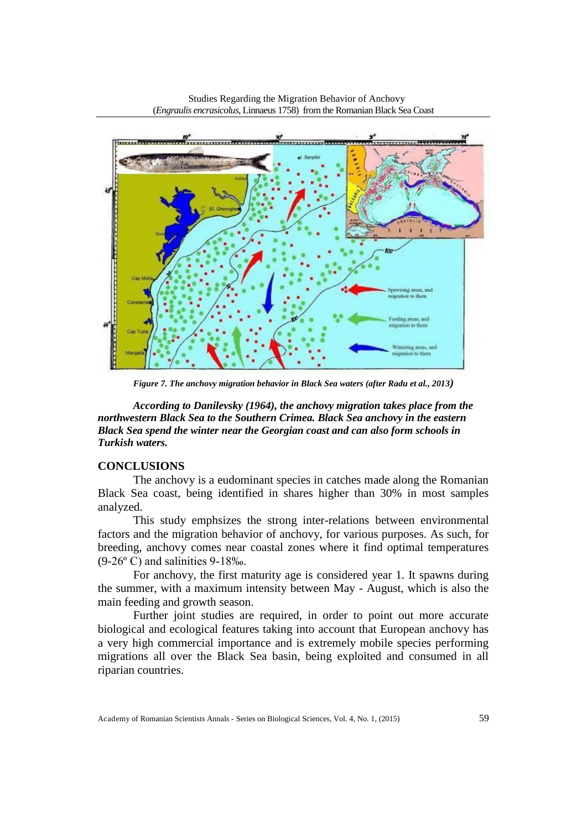

Studies Regarding the Migration Behavior of Anchovy

*Figure 7. The anchovy migration behavior in Black Sea waters (after Radu et al., 2013)*

*According to Danilevsky (1964), the anchovy migration takes place from the northwestern Black Sea to the Southern Crimea. Black Sea anchovy in the eastern Black Sea spend the winter near the Georgian coast and can also form schools in Turkish waters.*

## **CONCLUSIONS**

The anchovy is a eudominant species in catches made along the Romanian Black Sea coast, being identified in shares higher than 30% in most samples analyzed.

This study emphsizes the strong inter-relations between environmental factors and the migration behavior of anchovy, for various purposes. As such, for breeding, anchovy comes near coastal zones where it find optimal temperatures (9-26º C) and salinities 9-18‰.

For anchovy, the first maturity age is considered year 1. It spawns during the summer, with a maximum intensity between May - August, which is also the main feeding and growth season.

Further joint studies are required, in order to point out more accurate biological and ecological features taking into account that European anchovy has a very high commercial importance and is extremely mobile species performing migrations all over the Black Sea basin, being exploited and consumed in all riparian countries.